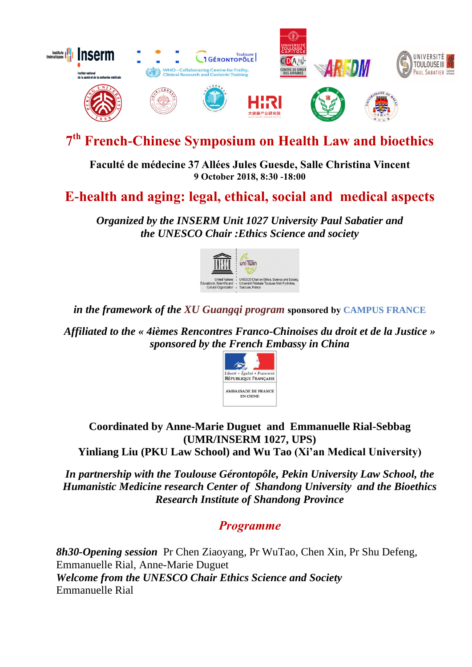

# **7 th French-Chinese Symposium on Health Law and bioethics**

**Faculté de médecine 37 Allées Jules Guesde, Salle Christina Vincent 9 October 2018, 8:30 -18:00**

# **E-health and aging: legal, ethical, social and medical aspects**

*Organized by the INSERM Unit 1027 University Paul Sabatier and the UNESCO Chair :Ethics Science and society* 



*in the framework of the XU Guangqi program* **sponsored by CAMPUS FRANCE**

*Affiliated to the « 4ièmes Rencontres Franco-Chinoises du droit et de la Justice » sponsored by the French Embassy in China* 



**Coordinated by Anne-Marie Duguet and Emmanuelle Rial-Sebbag (UMR/INSERM 1027, UPS) Yinliang Liu (PKU Law School) and Wu Tao (Xi'an Medical University)**

*In partnership with the Toulouse Gérontopôle, Pekin University Law School, the Humanistic Medicine research Center of Shandong University and the Bioethics Research Institute of Shandong Province*

*Programme*

*8h30-Opening session* Pr Chen Ziaoyang, Pr WuTao, Chen Xin, Pr Shu Defeng, Emmanuelle Rial, Anne-Marie Duguet *Welcome from the UNESCO Chair Ethics Science and Society* Emmanuelle Rial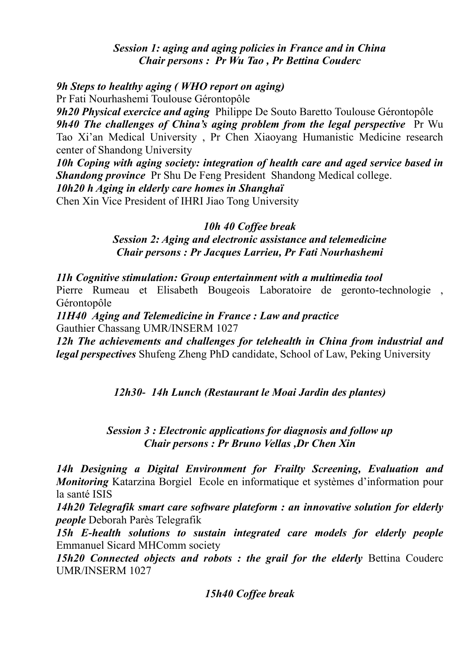### *Session 1: aging and aging policies in France and in China Chair persons : Pr Wu Tao , Pr Bettina Couderc*

## *9h Steps to healthy aging ( WHO report on aging)*

Pr Fati Nourhashemi Toulouse Gérontopôle

*9h20 Physical exercice and aging* Philippe De Souto Baretto Toulouse Gérontopôle *9h40 The challenges of China's aging problem from the legal perspective* Pr Wu Tao Xi'an Medical University , Pr Chen Xiaoyang Humanistic Medicine research center of Shandong University

*10h Coping with aging society: integration of health care and aged service based in Shandong province* Pr Shu De Feng President Shandong Medical college.

*10h20 h Aging in elderly care homes in Shanghaï*

Chen Xin Vice President of IHRI Jiao Tong University

### *10h 40 Coffee break*

*Session 2: Aging and electronic assistance and telemedicine Chair persons : Pr Jacques Larrieu, Pr Fati Nourhashemi* 

### *11h Cognitive stimulation: Group entertainment with a multimedia tool*

Pierre Rumeau et Elisabeth Bougeois Laboratoire de geronto-technologie , Gérontopôle

*11H40 Aging and Telemedicine in France : Law and practice* Gauthier Chassang UMR/INSERM 1027

*12h The achievements and challenges for telehealth in China from industrial and legal perspectives* Shufeng Zheng PhD candidate, School of Law, Peking University

*12h30- 14h Lunch (Restaurant le Moai Jardin des plantes)*

# *Session 3 : Electronic applications for diagnosis and follow up Chair persons : Pr Bruno Vellas ,Dr Chen Xin*

*14h Designing a Digital Environment for Frailty Screening, Evaluation and Monitoring* Katarzina BorgielEcole en informatique et systèmes d'information pour la santé ISIS

*14h20 Telegrafik smart care software plateform : an innovative solution for elderly people* Deborah Parès Telegrafik

*15h E-health solutions to sustain integrated care models for elderly people* Emmanuel Sicard MHComm society

15h20 Connected objects and robots : the grail for the elderly Bettina Couderc UMR/INSERM 1027

*15h40 Coffee break*